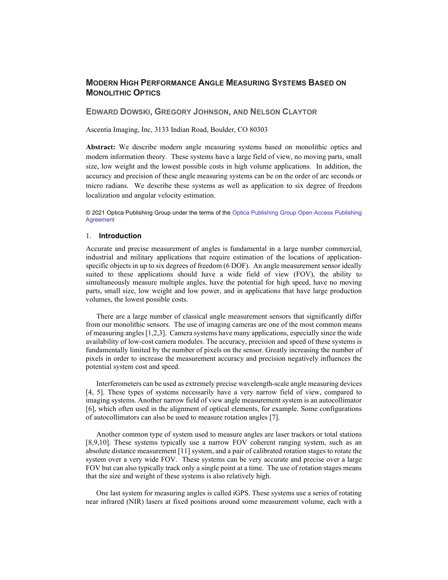# **MODERN HIGH PERFORMANCE ANGLE MEASURING SYSTEMS BASED ON MONOLITHIC OPTICS**

## **EDWARD DOWSKI, GREGORY JOHNSON, AND NELSON CLAYTOR**

Ascentia Imaging, Inc, 3133 Indian Road, Boulder, CO 80303

**Abstract:** We describe modern angle measuring systems based on monolithic optics and modern information theory. These systems have a large field of view, no moving parts, small size, low weight and the lowest possible costs in high volume applications. In addition, the accuracy and precision of these angle measuring systems can be on the order of arc seconds or micro radians. We describe these systems as well as application to six degree of freedom localization and angular velocity estimation.

© 2021 Optica Publishing Group under the terms of th[e Optica Publishing Group](https://doi.org/10.1364/OA_License_v2) Open Access Publishing [Agreement](https://doi.org/10.1364/OA_License_v2)

#### 1. **Introduction**

Accurate and precise measurement of angles is fundamental in a large number commercial, industrial and military applications that require estimation of the locations of applicationspecific objects in up to six degrees of freedom (6 DOF). An angle measurement sensor ideally suited to these applications should have a wide field of view (FOV), the ability to simultaneously measure multiple angles, have the potential for high speed, have no moving parts, small size, low weight and low power, and in applications that have large production volumes, the lowest possible costs.

There are a large number of classical angle measurement sensors that significantly differ from our monolithic sensors. The use of imaging cameras are one of the most common means of measuring angles [1,2,3]. Camera systems have many applications, especially since the wide availability of low-cost camera modules. The accuracy, precision and speed of these systems is fundamentally limited by the number of pixels on the sensor. Greatly increasing the number of pixels in order to increase the measurement accuracy and precision negatively influences the potential system cost and speed.

Interferometers can be used as extremely precise wavelength-scale angle measuring devices [4, 5]. These types of systems necessarily have a very narrow field of view, compared to imaging systems. Another narrow field of view angle measurement system is an autocollimator [6], which often used in the alignment of optical elements, for example. Some configurations of autocollimators can also be used to measure rotation angles [7].

Another common type of system used to measure angles are laser trackers or total stations [8,9,10]. These systems typically use a narrow FOV coherent ranging system, such as an absolute distance measurement [11] system, and a pair of calibrated rotation stages to rotate the system over a very wide FOV. These systems can be very accurate and precise over a large FOV but can also typically track only a single point at a time. The use of rotation stages means that the size and weight of these systems is also relatively high.

One last system for measuring angles is called iGPS. These systems use a series of rotating near infrared (NIR) lasers at fixed positions around some measurement volume, each with a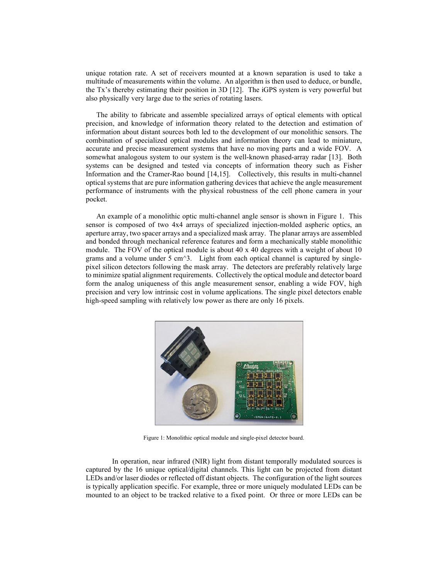unique rotation rate. A set of receivers mounted at a known separation is used to take a multitude of measurements within the volume. An algorithm is then used to deduce, or bundle, the Tx's thereby estimating their position in 3D [12]. The iGPS system is very powerful but also physically very large due to the series of rotating lasers.

The ability to fabricate and assemble specialized arrays of optical elements with optical precision, and knowledge of information theory related to the detection and estimation of information about distant sources both led to the development of our monolithic sensors. The combination of specialized optical modules and information theory can lead to miniature, accurate and precise measurement systems that have no moving parts and a wide FOV. A somewhat analogous system to our system is the well-known phased-array radar [13]. Both systems can be designed and tested via concepts of information theory such as Fisher Information and the Cramer-Rao bound [14,15]. Collectively, this results in multi-channel optical systems that are pure information gathering devices that achieve the angle measurement performance of instruments with the physical robustness of the cell phone camera in your pocket.

An example of a monolithic optic multi-channel angle sensor is shown in Figure 1. This sensor is composed of two 4x4 arrays of specialized injection-molded aspheric optics, an aperture array, two spacer arrays and a specialized mask array. The planar arrays are assembled and bonded through mechanical reference features and form a mechanically stable monolithic module. The FOV of the optical module is about  $40 \times 40$  degrees with a weight of about  $10$ grams and a volume under  $\overline{5}$  cm $\overline{2}$ . Light from each optical channel is captured by singlepixel silicon detectors following the mask array. The detectors are preferably relatively large to minimize spatial alignment requirements. Collectively the optical module and detector board form the analog uniqueness of this angle measurement sensor, enabling a wide FOV, high precision and very low intrinsic cost in volume applications. The single pixel detectors enable high-speed sampling with relatively low power as there are only 16 pixels.



Figure 1: Monolithic optical module and single-pixel detector board.

In operation, near infrared (NIR) light from distant temporally modulated sources is captured by the 16 unique optical/digital channels. This light can be projected from distant LEDs and/or laser diodes or reflected off distant objects. The configuration of the light sources is typically application specific. For example, three or more uniquely modulated LEDs can be mounted to an object to be tracked relative to a fixed point. Or three or more LEDs can be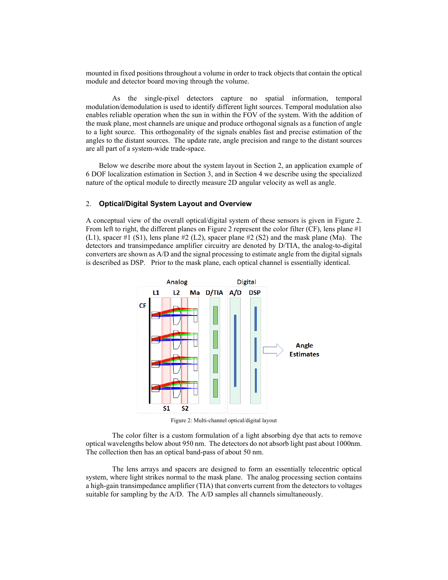mounted in fixed positions throughout a volume in order to track objects that contain the optical module and detector board moving through the volume.

As the single-pixel detectors capture no spatial information, temporal modulation/demodulation is used to identify different light sources. Temporal modulation also enables reliable operation when the sun in within the FOV of the system. With the addition of the mask plane, most channels are unique and produce orthogonal signals as a function of angle to a light source. This orthogonality of the signals enables fast and precise estimation of the angles to the distant sources. The update rate, angle precision and range to the distant sources are all part of a system-wide trade-space.

Below we describe more about the system layout in Section 2, an application example of 6 DOF localization estimation in Section 3, and in Section 4 we describe using the specialized nature of the optical module to directly measure 2D angular velocity as well as angle.

# 2. **Optical/Digital System Layout and Overview**

A conceptual view of the overall optical/digital system of these sensors is given in Figure 2. From left to right, the different planes on Figure 2 represent the color filter (CF), lens plane #1 (L1), spacer #1 (S1), lens plane #2 (L2), spacer plane #2 (S2) and the mask plane (Ma). The detectors and transimpedance amplifier circuitry are denoted by D/TIA, the analog-to-digital converters are shown as A/D and the signal processing to estimate angle from the digital signals is described as DSP. Prior to the mask plane, each optical channel is essentially identical.



Figure 2: Multi-channel optical/digital layout

The color filter is a custom formulation of a light absorbing dye that acts to remove optical wavelengths below about 950 nm. The detectors do not absorb light past about 1000nm. The collection then has an optical band-pass of about 50 nm.

The lens arrays and spacers are designed to form an essentially telecentric optical system, where light strikes normal to the mask plane. The analog processing section contains a high-gain transimpedance amplifier (TIA) that converts current from the detectors to voltages suitable for sampling by the A/D. The A/D samples all channels simultaneously.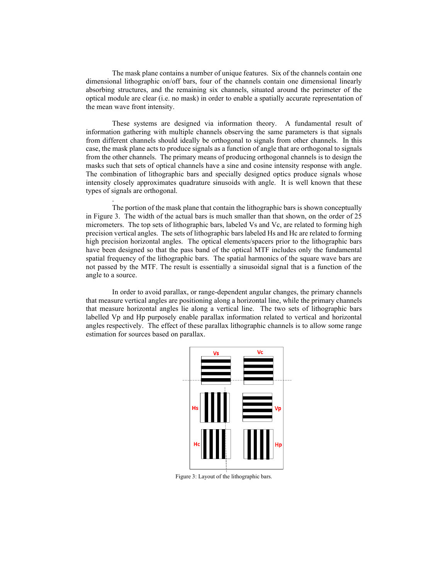The mask plane contains a number of unique features. Six of the channels contain one dimensional lithographic on/off bars, four of the channels contain one dimensional linearly absorbing structures, and the remaining six channels, situated around the perimeter of the optical module are clear (i.e. no mask) in order to enable a spatially accurate representation of the mean wave front intensity.

These systems are designed via information theory. A fundamental result of information gathering with multiple channels observing the same parameters is that signals from different channels should ideally be orthogonal to signals from other channels. In this case, the mask plane acts to produce signals as a function of angle that are orthogonal to signals from the other channels. The primary means of producing orthogonal channels is to design the masks such that sets of optical channels have a sine and cosine intensity response with angle. The combination of lithographic bars and specially designed optics produce signals whose intensity closely approximates quadrature sinusoids with angle. It is well known that these types of signals are orthogonal.

The portion of the mask plane that contain the lithographic bars is shown conceptually in Figure 3. The width of the actual bars is much smaller than that shown, on the order of 25 micrometers. The top sets of lithographic bars, labeled Vs and Vc, are related to forming high precision vertical angles. The sets of lithographic bars labeled Hs and Hc are related to forming high precision horizontal angles. The optical elements/spacers prior to the lithographic bars have been designed so that the pass band of the optical MTF includes only the fundamental spatial frequency of the lithographic bars. The spatial harmonics of the square wave bars are not passed by the MTF. The result is essentially a sinusoidal signal that is a function of the angle to a source.

.

In order to avoid parallax, or range-dependent angular changes, the primary channels that measure vertical angles are positioning along a horizontal line, while the primary channels that measure horizontal angles lie along a vertical line. The two sets of lithographic bars labelled Vp and Hp purposely enable parallax information related to vertical and horizontal angles respectively. The effect of these parallax lithographic channels is to allow some range estimation for sources based on parallax.



Figure 3: Layout of the lithographic bars.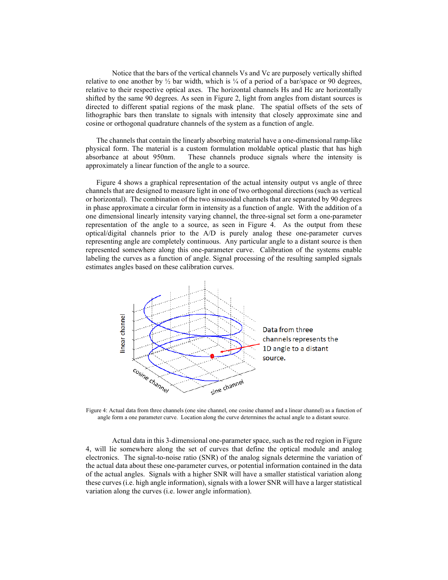Notice that the bars of the vertical channels Vs and Vc are purposely vertically shifted relative to one another by  $\frac{1}{2}$  bar width, which is  $\frac{1}{4}$  of a period of a bar/space or 90 degrees, relative to their respective optical axes. The horizontal channels Hs and Hc are horizontally shifted by the same 90 degrees. As seen in Figure 2, light from angles from distant sources is directed to different spatial regions of the mask plane. The spatial offsets of the sets of lithographic bars then translate to signals with intensity that closely approximate sine and cosine or orthogonal quadrature channels of the system as a function of angle.

The channels that contain the linearly absorbing material have a one-dimensional ramp-like physical form. The material is a custom formulation moldable optical plastic that has high absorbance at about 950nm. These channels produce signals where the intensity is approximately a linear function of the angle to a source.

Figure 4 shows a graphical representation of the actual intensity output vs angle of three channels that are designed to measure light in one of two orthogonal directions (such as vertical or horizontal). The combination of the two sinusoidal channels that are separated by 90 degrees in phase approximate a circular form in intensity as a function of angle. With the addition of a one dimensional linearly intensity varying channel, the three-signal set form a one-parameter representation of the angle to a source, as seen in Figure 4. As the output from these optical/digital channels prior to the A/D is purely analog these one-parameter curves representing angle are completely continuous. Any particular angle to a distant source is then represented somewhere along this one-parameter curve. Calibration of the systems enable labeling the curves as a function of angle. Signal processing of the resulting sampled signals estimates angles based on these calibration curves.



Figure 4: Actual data from three channels (one sine channel, one cosine channel and a linear channel) as a function of angle form a one parameter curve. Location along the curve determines the actual angle to a distant source.

Actual data in this 3-dimensional one-parameter space, such as the red region in Figure 4, will lie somewhere along the set of curves that define the optical module and analog electronics. The signal-to-noise ratio (SNR) of the analog signals determine the variation of the actual data about these one-parameter curves, or potential information contained in the data of the actual angles. Signals with a higher SNR will have a smaller statistical variation along these curves (i.e. high angle information), signals with a lower SNR will have a larger statistical variation along the curves (i.e. lower angle information).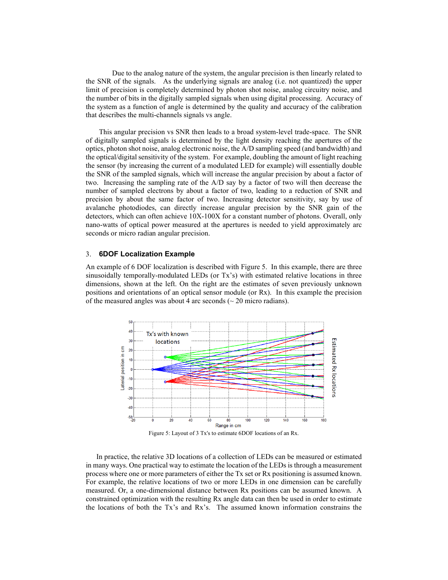Due to the analog nature of the system, the angular precision is then linearly related to the SNR of the signals. As the underlying signals are analog (i.e. not quantized) the upper limit of precision is completely determined by photon shot noise, analog circuitry noise, and the number of bits in the digitally sampled signals when using digital processing. Accuracy of the system as a function of angle is determined by the quality and accuracy of the calibration that describes the multi-channels signals vs angle.

This angular precision vs SNR then leads to a broad system-level trade-space. The SNR of digitally sampled signals is determined by the light density reaching the apertures of the optics, photon shot noise, analog electronic noise, the A/D sampling speed (and bandwidth) and the optical/digital sensitivity of the system. For example, doubling the amount of light reaching the sensor (by increasing the current of a modulated LED for example) will essentially double the SNR of the sampled signals, which will increase the angular precision by about a factor of two. Increasing the sampling rate of the A/D say by a factor of two will then decrease the number of sampled electrons by about a factor of two, leading to a reduction of SNR and precision by about the same factor of two. Increasing detector sensitivity, say by use of avalanche photodiodes, can directly increase angular precision by the SNR gain of the detectors, which can often achieve 10X-100X for a constant number of photons. Overall, only nano-watts of optical power measured at the apertures is needed to yield approximately arc seconds or micro radian angular precision.

### 3. **6DOF Localization Example**

An example of 6 DOF localization is described with Figure 5. In this example, there are three sinusoidally temporally-modulated LEDs (or Tx's) with estimated relative locations in three dimensions, shown at the left. On the right are the estimates of seven previously unknown positions and orientations of an optical sensor module (or Rx). In this example the precision of the measured angles was about 4 arc seconds  $\sim$  20 micro radians).



Figure 5: Layout of 3 Tx's to estimate 6DOF locations of an Rx.

In practice, the relative 3D locations of a collection of LEDs can be measured or estimated in many ways. One practical way to estimate the location of the LEDs is through a measurement process where one or more parameters of either the Tx set or Rx positioning is assumed known. For example, the relative locations of two or more LEDs in one dimension can be carefully measured. Or, a one-dimensional distance between Rx positions can be assumed known. A constrained optimization with the resulting Rx angle data can then be used in order to estimate the locations of both the Tx's and Rx's. The assumed known information constrains the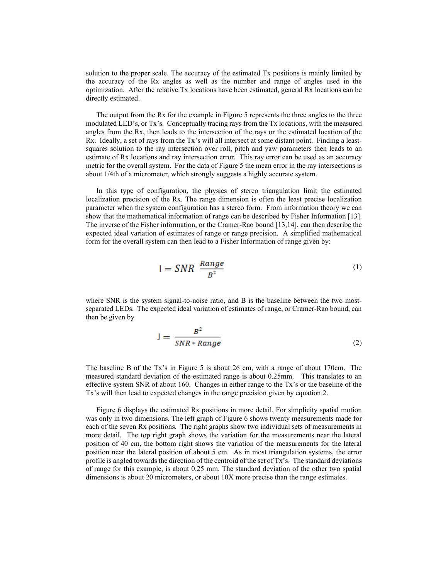solution to the proper scale. The accuracy of the estimated Tx positions is mainly limited by the accuracy of the Rx angles as well as the number and range of angles used in the optimization. After the relative Tx locations have been estimated, general Rx locations can be directly estimated.

The output from the Rx for the example in Figure 5 represents the three angles to the three modulated LED's, or Tx's. Conceptually tracing rays from the Tx locations, with the measured angles from the Rx, then leads to the intersection of the rays or the estimated location of the Rx. Ideally, a set of rays from the Tx's will all intersect at some distant point. Finding a leastsquares solution to the ray intersection over roll, pitch and yaw parameters then leads to an estimate of Rx locations and ray intersection error. This ray error can be used as an accuracy metric for the overall system. For the data of Figure 5 the mean error in the ray intersections is about 1/4th of a micrometer, which strongly suggests a highly accurate system.

In this type of configuration, the physics of stereo triangulation limit the estimated localization precision of the Rx. The range dimension is often the least precise localization parameter when the system configuration has a stereo form. From information theory we can show that the mathematical information of range can be described by Fisher Information [13]. The inverse of the Fisher information, or the Cramer-Rao bound [13,14], can then describe the expected ideal variation of estimates of range or range precision. A simplified mathematical form for the overall system can then lead to a Fisher Information of range given by:

$$
I = SNR \frac{Range}{B^2} \tag{1}
$$

where SNR is the system signal-to-noise ratio, and B is the baseline between the two mostseparated LEDs. The expected ideal variation of estimates of range, or Cramer-Rao bound, can then be given by

$$
J = \frac{B^2}{SNR * Range} \tag{2}
$$

The baseline B of the Tx's in Figure 5 is about 26 cm, with a range of about 170cm. The measured standard deviation of the estimated range is about 0.25mm. This translates to an effective system SNR of about 160. Changes in either range to the Tx's or the baseline of the Tx's will then lead to expected changes in the range precision given by equation 2.

Figure 6 displays the estimated Rx positions in more detail. For simplicity spatial motion was only in two dimensions. The left graph of Figure 6 shows twenty measurements made for each of the seven Rx positions. The right graphs show two individual sets of measurements in more detail. The top right graph shows the variation for the measurements near the lateral position of 40 cm, the bottom right shows the variation of the measurements for the lateral position near the lateral position of about 5 cm. As in most triangulation systems, the error profile is angled towards the direction of the centroid of the set of Tx's. The standard deviations of range for this example, is about 0.25 mm. The standard deviation of the other two spatial dimensions is about 20 micrometers, or about 10X more precise than the range estimates.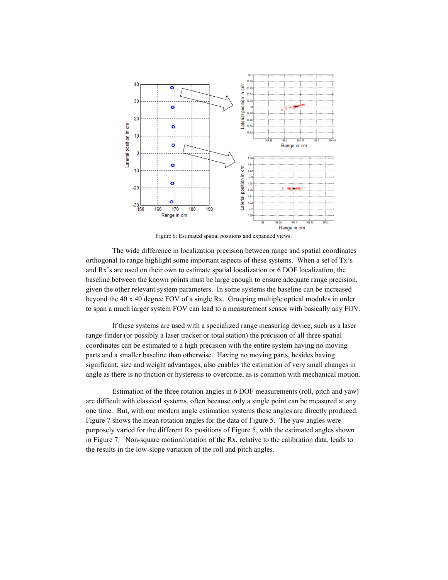

Figure 6: Estimated spatial positions and expanded views.

The wide difference in localization precision between range and spatial coordinates orthogonal to range highlight some important aspects of these systems. When a set of Tx's and Rx's are used on their own to estimate spatial localization or 6 DOF localization, the baseline between the known points must be large enough to ensure adequate range precision, given the other relevant system parameters. In some systems the baseline can be increased beyond the 40 x 40 degree FOV of a single Rx. Grouping multiple optical modules in order to span a much larger system FOV can lead to a measurement sensor with basically any FOV.

If these systems are used with a specialized range measuring device, such as a laser range-finder (or possibly a laser tracker or total station) the precision of all three spatial coordinates can be estimated to a high precision with the entire system having no moving parts and a smaller baseline than otherwise. Having no moving parts, besides having significant, size and weight advantages, also enables the estimation of very small changes in angle as there is no friction or hysteresis to overcome, as is common with mechanical motion.

Estimation of the three rotation angles in 6 DOF measurements (roll, pitch and yaw) are difficult with classical systems, often because only a single point can be measured at any one time. But, with our modern angle estimation systems these angles are directly produced. Figure 7 shows the mean rotation angles for the data of Figure 5. The yaw angles were purposely varied for the different Rx positions of Figure 5, with the estimated angles shown in Figure 7. Non-square motion/rotation of the Rx, relative to the calibration data, leads to the results in the low-slope variation of the roll and pitch angles.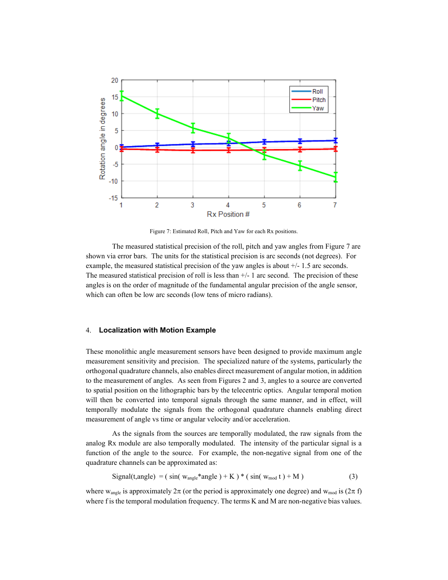

Figure 7: Estimated Roll, Pitch and Yaw for each Rx positions.

The measured statistical precision of the roll, pitch and yaw angles from Figure 7 are shown via error bars. The units for the statistical precision is arc seconds (not degrees). For example, the measured statistical precision of the yaw angles is about +/- 1.5 arc seconds. The measured statistical precision of roll is less than +/- 1 arc second. The precision of these angles is on the order of magnitude of the fundamental angular precision of the angle sensor, which can often be low arc seconds (low tens of micro radians).

# 4. **Localization with Motion Example**

These monolithic angle measurement sensors have been designed to provide maximum angle measurement sensitivity and precision. The specialized nature of the systems, particularly the orthogonal quadrature channels, also enables direct measurement of angular motion, in addition to the measurement of angles. As seen from Figures 2 and 3, angles to a source are converted to spatial position on the lithographic bars by the telecentric optics. Angular temporal motion will then be converted into temporal signals through the same manner, and in effect, will temporally modulate the signals from the orthogonal quadrature channels enabling direct measurement of angle vs time or angular velocity and/or acceleration.

As the signals from the sources are temporally modulated, the raw signals from the analog Rx module are also temporally modulated. The intensity of the particular signal is a function of the angle to the source. For example, the non-negative signal from one of the quadrature channels can be approximated as:

$$
Signal(t, angle) = (sin(wangle*angle) + K)* (sin(wmod t) + M)
$$
 (3)

where w<sub>angle</sub> is approximately  $2\pi$  (or the period is approximately one degree) and w<sub>mod</sub> is  $(2\pi f)$ where f is the temporal modulation frequency. The terms K and M are non-negative bias values.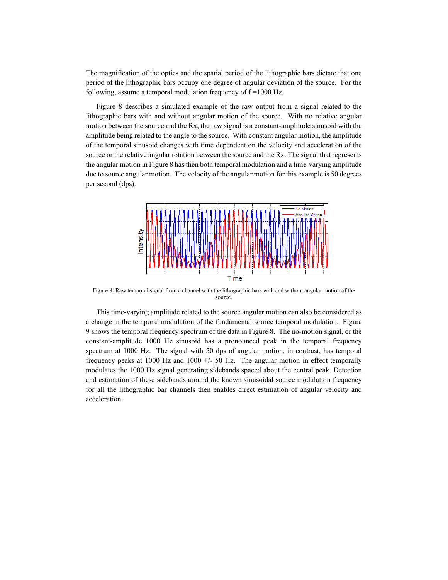The magnification of the optics and the spatial period of the lithographic bars dictate that one period of the lithographic bars occupy one degree of angular deviation of the source. For the following, assume a temporal modulation frequency of  $f = 1000$  Hz.

Figure 8 describes a simulated example of the raw output from a signal related to the lithographic bars with and without angular motion of the source. With no relative angular motion between the source and the Rx, the raw signal is a constant-amplitude sinusoid with the amplitude being related to the angle to the source. With constant angular motion, the amplitude of the temporal sinusoid changes with time dependent on the velocity and acceleration of the source or the relative angular rotation between the source and the Rx. The signal that represents the angular motion in Figure 8 has then both temporal modulation and a time-varying amplitude due to source angular motion. The velocity of the angular motion for this example is 50 degrees per second (dps).



Figure 8: Raw temporal signal from a channel with the lithographic bars with and without angular motion of the source.

This time-varying amplitude related to the source angular motion can also be considered as a change in the temporal modulation of the fundamental source temporal modulation. Figure 9 shows the temporal frequency spectrum of the data in Figure 8. The no-motion signal, or the constant-amplitude 1000 Hz sinusoid has a pronounced peak in the temporal frequency spectrum at 1000 Hz. The signal with 50 dps of angular motion, in contrast, has temporal frequency peaks at 1000 Hz and 1000 +/- 50 Hz. The angular motion in effect temporally modulates the 1000 Hz signal generating sidebands spaced about the central peak. Detection and estimation of these sidebands around the known sinusoidal source modulation frequency for all the lithographic bar channels then enables direct estimation of angular velocity and acceleration.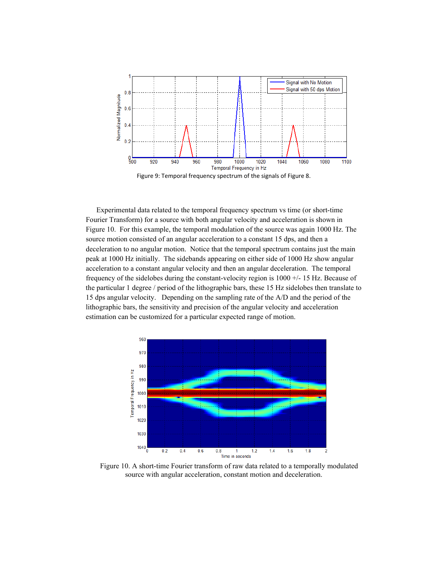

Experimental data related to the temporal frequency spectrum vs time (or short-time Fourier Transform) for a source with both angular velocity and acceleration is shown in Figure 10. For this example, the temporal modulation of the source was again 1000 Hz. The source motion consisted of an angular acceleration to a constant 15 dps, and then a deceleration to no angular motion. Notice that the temporal spectrum contains just the main peak at 1000 Hz initially. The sidebands appearing on either side of 1000 Hz show angular acceleration to a constant angular velocity and then an angular deceleration. The temporal frequency of the sidelobes during the constant-velocity region is 1000 +/- 15 Hz. Because of the particular 1 degree / period of the lithographic bars, these 15 Hz sidelobes then translate to 15 dps angular velocity. Depending on the sampling rate of the A/D and the period of the lithographic bars, the sensitivity and precision of the angular velocity and acceleration estimation can be customized for a particular expected range of motion.



Figure 10. A short-time Fourier transform of raw data related to a temporally modulated source with angular acceleration, constant motion and deceleration.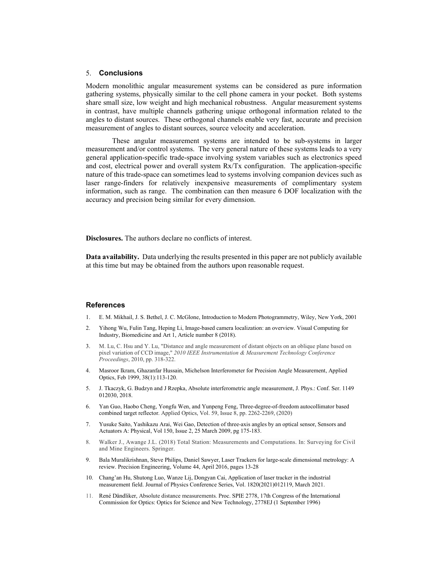### 5. **Conclusions**

Modern monolithic angular measurement systems can be considered as pure information gathering systems, physically similar to the cell phone camera in your pocket. Both systems share small size, low weight and high mechanical robustness. Angular measurement systems in contrast, have multiple channels gathering unique orthogonal information related to the angles to distant sources. These orthogonal channels enable very fast, accurate and precision measurement of angles to distant sources, source velocity and acceleration.

These angular measurement systems are intended to be sub-systems in larger measurement and/or control systems. The very general nature of these systems leads to a very general application-specific trade-space involving system variables such as electronics speed and cost, electrical power and overall system Rx/Tx configuration. The application-specific nature of this trade-space can sometimes lead to systems involving companion devices such as laser range-finders for relatively inexpensive measurements of complimentary system information, such as range. The combination can then measure 6 DOF localization with the accuracy and precision being similar for every dimension.

**Disclosures.** The authors declare no conflicts of interest.

**Data availability.** Data underlying the results presented in this paper are not publicly available at this time but may be obtained from the authors upon reasonable request.

#### **References**

- 1. E. M. Mikhail, J. S. Bethel, J. C. McGlone, Introduction to Modern Photogrammetry, Wiley, New York, 2001
- 2. Yihong Wu, Fulin Tang, Heping Li, Image-based camera localization: an overview. Visual Computing for Industry, Biomedicine and Art 1, Article number 8 (2018).
- 3. M. Lu, C. Hsu and Y. Lu, "Distance and angle measurement of distant objects on an oblique plane based on pixel variation of CCD image," *2010 IEEE Instrumentation & Measurement Technology Conference Proceedings*, 2010, pp. 318-322.
- 4. Masroor Ikram, Ghazanfar Hussain, Michelson Interferometer for Precision Angle Measurement, Applied Optics, Feb 1999, 38(1):113-120.
- 5. J. Tkaczyk, G. Budzyn and J Rzepka, Absolute interferometric angle measurement, J. Phys.: Conf. Ser. 1149 012030, 2018.
- 6. Yan Guo, Haobo Cheng, Yongfu Wen, and Yunpeng Feng, Three-degree-of-freedom autocollimator based combined target reflector. Applied Optics, Vol. 59, Issue 8, pp. 2262-2269, (2020)
- 7. Yusuke Saito, Yashikazu Arai, Wei Gao, Detection of three-axis angles by an optical sensor, Sensors and Actuators A: Physical, Vol 150, Issue 2, 25 March 2009, pg 175-183.
- 8. Walker J., Awange J.L. (2018) Total Station: Measurements and Computations. In: Surveying for Civil and Mine Engineers. Springer.
- 9. Bala Muralikrishnan, Steve Philips, Daniel Sawyer, Laser Trackers for large-scale dimensional metrology: A review. Precision Engineering, Volume 44, April 2016, pages 13-28
- 10. Chang'an Hu, Shutong Luo, Wanze Lij, Dongyan Cai, Application of laser tracker in the industrial measurement field. Journal of Physics Conference Series, Vol. 1820(2021)012119, March 2021.
- 11. René Dändliker, Absolute distance measurements. Proc. SPIE 2778, 17th Congress of the International Commission for Optics: Optics for Science and New Technology, 2778EJ (1 September 1996)